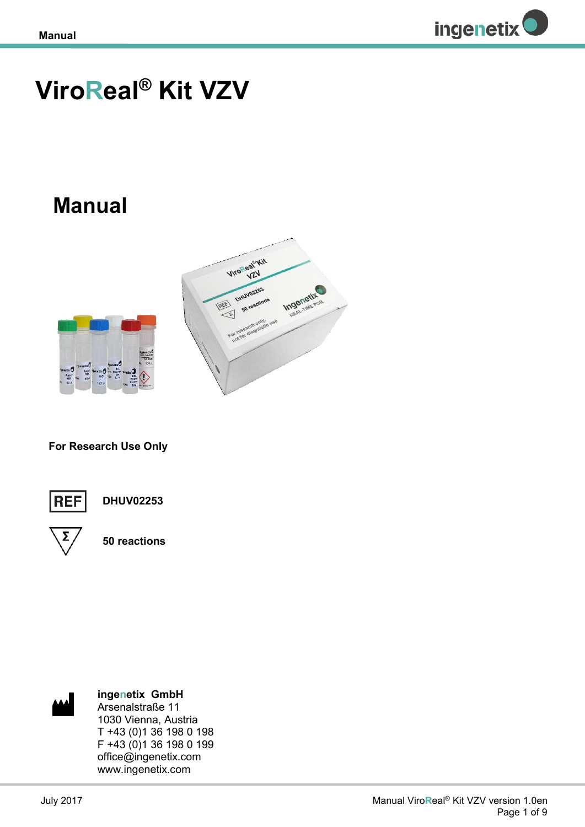

# **ViroReal® Kit VZV**

## **Manual**





**For Research Use Only**



**DHUV02253**



**50 reactions**



**ingenetix GmbH** Arsenalstraße 11 1030 Vienna, Austria T +43 (0)1 36 198 0 198 F +43 (0)1 36 198 0 199 office@ingenetix.com www.ingenetix.com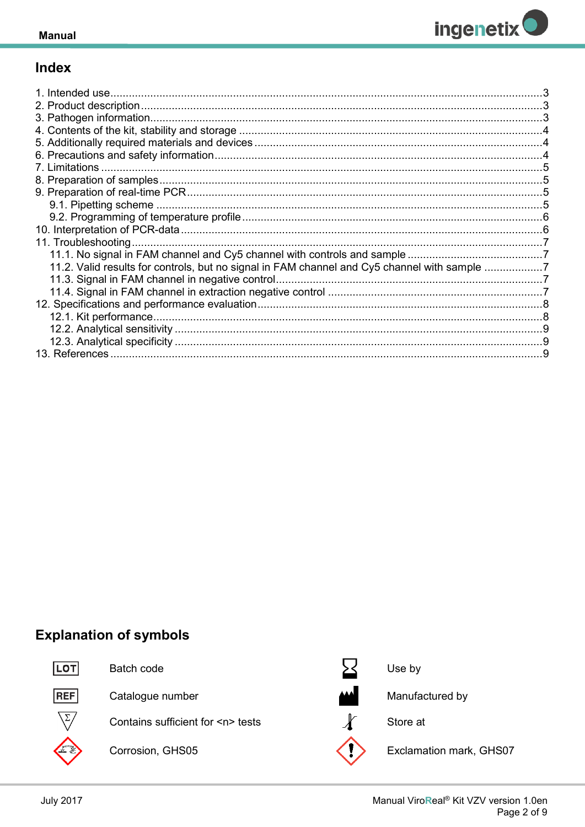

## Index

| 11.2. Valid results for controls, but no signal in FAM channel and Cy5 channel with sample 7 |  |
|----------------------------------------------------------------------------------------------|--|
|                                                                                              |  |
|                                                                                              |  |
|                                                                                              |  |
|                                                                                              |  |
|                                                                                              |  |
|                                                                                              |  |
| 13 References                                                                                |  |

## **Explanation of symbols**



Batch code



Catalogue number



Contains sufficient for <n> tests

Corrosion, GHS05



Use by

Manufactured by



Store at

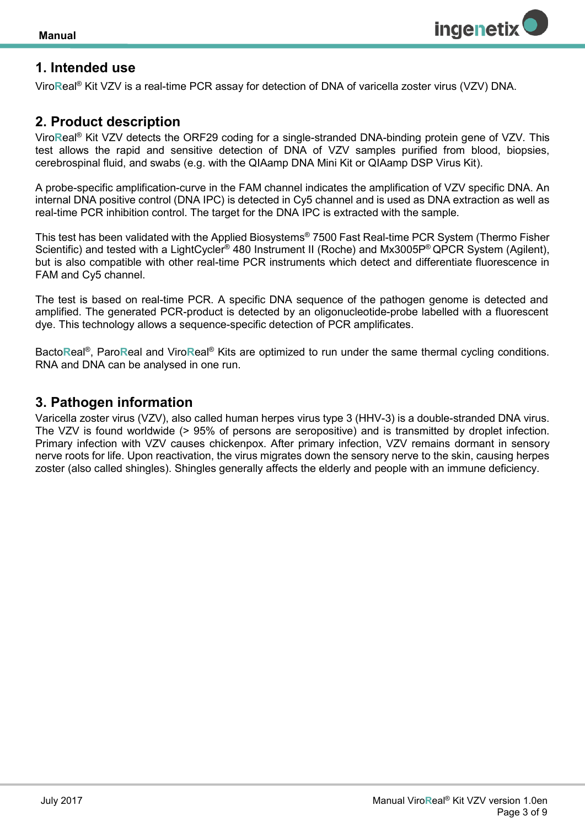## <span id="page-2-0"></span>**1. Intended use**

Viro**R**eal® Kit VZV is a real-time PCR assay for detection of DNA of varicella zoster virus (VZV) DNA.

#### <span id="page-2-1"></span>**2. Product description**

Viro**R**eal® Kit VZV detects the ORF29 coding for a single-stranded DNA-binding protein gene of VZV*.* This test allows the rapid and sensitive detection of DNA of VZV samples purified from blood, biopsies, cerebrospinal fluid, and swabs (e.g. with the QIAamp DNA Mini Kit or QIAamp DSP Virus Kit).

A probe-specific amplification-curve in the FAM channel indicates the amplification of VZV specific DNA. An internal DNA positive control (DNA IPC) is detected in Cy5 channel and is used as DNA extraction as well as real-time PCR inhibition control. The target for the DNA IPC is extracted with the sample.

This test has been validated with the Applied Biosystems® 7500 Fast Real-time PCR System (Thermo Fisher Scientific) and tested with a LightCycler® 480 Instrument II (Roche) and Mx3005P® QPCR System (Agilent), but is also compatible with other real-time PCR instruments which detect and differentiate fluorescence in FAM and Cy5 channel.

The test is based on real-time PCR. A specific DNA sequence of the pathogen genome is detected and amplified. The generated PCR-product is detected by an oligonucleotide-probe labelled with a fluorescent dye. This technology allows a sequence-specific detection of PCR amplificates.

Bacto**R**eal® , Paro**R**eal and Viro**R**eal® Kits are optimized to run under the same thermal cycling conditions. RNA and DNA can be analysed in one run.

#### <span id="page-2-2"></span>**3. Pathogen information**

Varicella zoster virus (VZV), also called human herpes virus type 3 (HHV-3) is a double-stranded DNA virus. The VZV is found worldwide (> 95% of persons are seropositive) and is transmitted by droplet infection. Primary infection with VZV causes chickenpox. After primary infection, VZV remains dormant in sensory nerve roots for life. Upon reactivation, the virus migrates down the sensory nerve to the skin, causing herpes zoster (also called shingles). Shingles generally affects the elderly and people with an immune deficiency.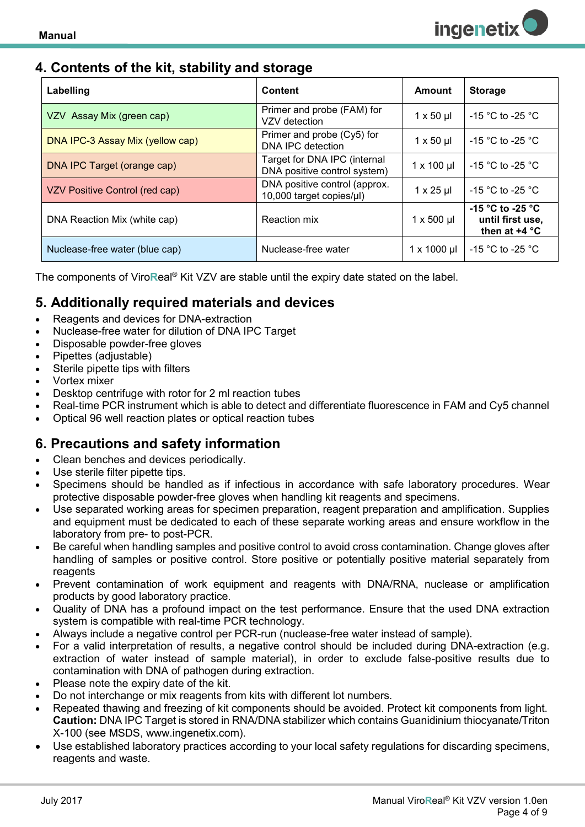## <span id="page-3-0"></span>**4. Contents of the kit, stability and storage**

| Labelling                        | <b>Content</b>                                               | Amount              | <b>Storage</b>                                          |
|----------------------------------|--------------------------------------------------------------|---------------------|---------------------------------------------------------|
| VZV Assay Mix (green cap)        | Primer and probe (FAM) for<br>VZV detection                  | $1 \times 50$ µl    | -15 °C to -25 °C                                        |
| DNA IPC-3 Assay Mix (yellow cap) | Primer and probe (Cy5) for<br>DNA IPC detection              | $1 \times 50$ µl    | -15 °C to -25 °C                                        |
| DNA IPC Target (orange cap)      | Target for DNA IPC (internal<br>DNA positive control system) | $1 \times 100$ µl   | -15 °C to -25 °C                                        |
| VZV Positive Control (red cap)   | DNA positive control (approx.<br>10,000 target copies/µl)    | $1 \times 25$ µl    | -15 °C to -25 °C                                        |
| DNA Reaction Mix (white cap)     | Reaction mix                                                 | $1 \times 500$ µl   | -15 °C to -25 °C<br>until first use,<br>then at $+4$ °C |
| Nuclease-free water (blue cap)   | Nuclease-free water                                          | $1 \times 1000 \mu$ | $-15$ °C to $-25$ °C                                    |

The components of Viro**R**eal® Kit VZV are stable until the expiry date stated on the label.

## <span id="page-3-1"></span>**5. Additionally required materials and devices**

- Reagents and devices for DNA-extraction
- Nuclease-free water for dilution of DNA IPC Target
- Disposable powder-free gloves
- Pipettes (adjustable)
- Sterile pipette tips with filters
- Vortex mixer
- Desktop centrifuge with rotor for 2 ml reaction tubes
- Real-time PCR instrument which is able to detect and differentiate fluorescence in FAM and Cy5 channel
- Optical 96 well reaction plates or optical reaction tubes

### <span id="page-3-2"></span>**6. Precautions and safety information**

- Clean benches and devices periodically.
- Use sterile filter pipette tips.
- Specimens should be handled as if infectious in accordance with safe laboratory procedures. Wear protective disposable powder-free gloves when handling kit reagents and specimens.
- Use separated working areas for specimen preparation, reagent preparation and amplification. Supplies and equipment must be dedicated to each of these separate working areas and ensure workflow in the laboratory from pre- to post-PCR.
- Be careful when handling samples and positive control to avoid cross contamination. Change gloves after handling of samples or positive control. Store positive or potentially positive material separately from reagents
- Prevent contamination of work equipment and reagents with DNA/RNA, nuclease or amplification products by good laboratory practice.
- Quality of DNA has a profound impact on the test performance. Ensure that the used DNA extraction system is compatible with real-time PCR technology.
- Always include a negative control per PCR-run (nuclease-free water instead of sample).
- For a valid interpretation of results, a negative control should be included during DNA-extraction (e.g. extraction of water instead of sample material), in order to exclude false-positive results due to contamination with DNA of pathogen during extraction.
- Please note the expiry date of the kit.
- Do not interchange or mix reagents from kits with different lot numbers.
- Repeated thawing and freezing of kit components should be avoided. Protect kit components from light. **Caution:** DNA IPC Target is stored in RNA/DNA stabilizer which contains Guanidinium thiocyanate/Triton X-100 (see MSDS, www.ingenetix.com).
- Use established laboratory practices according to your local safety regulations for discarding specimens, reagents and waste.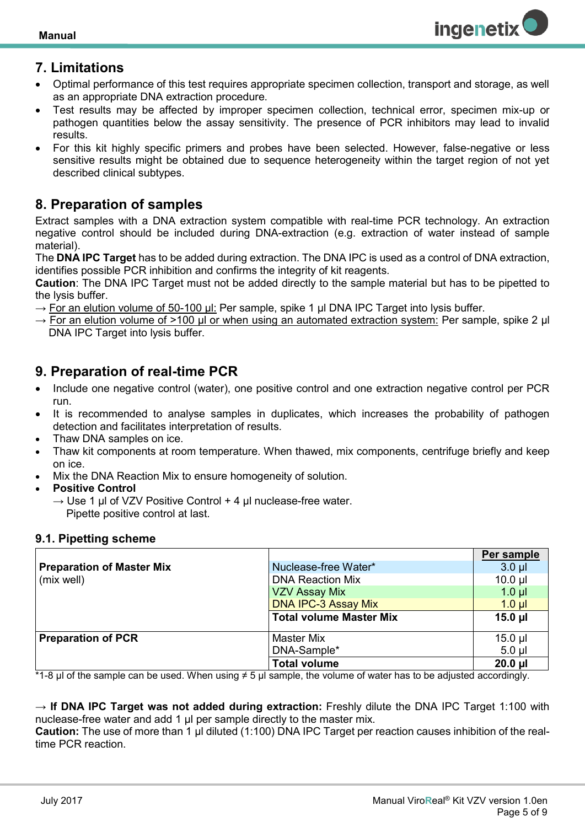

#### <span id="page-4-0"></span>**7. Limitations**

- Optimal performance of this test requires appropriate specimen collection, transport and storage, as well as an appropriate DNA extraction procedure.
- Test results may be affected by improper specimen collection, technical error, specimen mix-up or pathogen quantities below the assay sensitivity. The presence of PCR inhibitors may lead to invalid results.
- For this kit highly specific primers and probes have been selected. However, false-negative or less sensitive results might be obtained due to sequence heterogeneity within the target region of not yet described clinical subtypes.

#### <span id="page-4-1"></span>**8. Preparation of samples**

Extract samples with a DNA extraction system compatible with real-time PCR technology. An extraction negative control should be included during DNA-extraction (e.g. extraction of water instead of sample material).

The **DNA IPC Target** has to be added during extraction. The DNA IPC is used as a control of DNA extraction, identifies possible PCR inhibition and confirms the integrity of kit reagents.

**Caution**: The DNA IPC Target must not be added directly to the sample material but has to be pipetted to the lysis buffer.

- $\rightarrow$  For an elution volume of 50-100 µl: Per sample, spike 1 µl DNA IPC Target into lysis buffer.
- $\rightarrow$  For an elution volume of >100 µl or when using an automated extraction system: Per sample, spike 2 µl DNA IPC Target into lysis buffer.

#### <span id="page-4-2"></span>**9. Preparation of real-time PCR**

- Include one negative control (water), one positive control and one extraction negative control per PCR run.
- It is recommended to analyse samples in duplicates, which increases the probability of pathogen detection and facilitates interpretation of results*.*
- Thaw DNA samples on ice.
- Thaw kit components at room temperature. When thawed, mix components, centrifuge briefly and keep on ice.
- Mix the DNA Reaction Mix to ensure homogeneity of solution.
- **Positive Control**
	- $\rightarrow$  Use 1 ul of VZV Positive Control + 4 ul nuclease-free water. Pipette positive control at last.

#### <span id="page-4-3"></span>**9.1. Pipetting scheme**

|                                  |                                | Per sample   |
|----------------------------------|--------------------------------|--------------|
| <b>Preparation of Master Mix</b> | Nuclease-free Water*           | $3.0$ $\mu$  |
| (mix well)                       | <b>DNA Reaction Mix</b>        | $10.0$ $\mu$ |
|                                  | <b>VZV Assay Mix</b>           | $1.0$ µl     |
|                                  | <b>DNA IPC-3 Assay Mix</b>     | $1.0$ $\mu$  |
|                                  | <b>Total volume Master Mix</b> | $15.0$ µl    |
| <b>Preparation of PCR</b>        | <b>Master Mix</b>              | $15.0$ µl    |
|                                  | DNA-Sample*                    | $5.0$ $\mu$  |
|                                  | <b>Total volume</b>            | $20.0$ $\mu$ |

\*1-8 µl of the sample can be used. When using ≠ 5 µl sample, the volume of water has to be adjusted accordingly.

→ **If DNA IPC Target was not added during extraction:** Freshly dilute the DNA IPC Target 1:100 with nuclease-free water and add 1 µl per sample directly to the master mix.

**Caution:** The use of more than 1 µl diluted (1:100) DNA IPC Target per reaction causes inhibition of the realtime PCR reaction.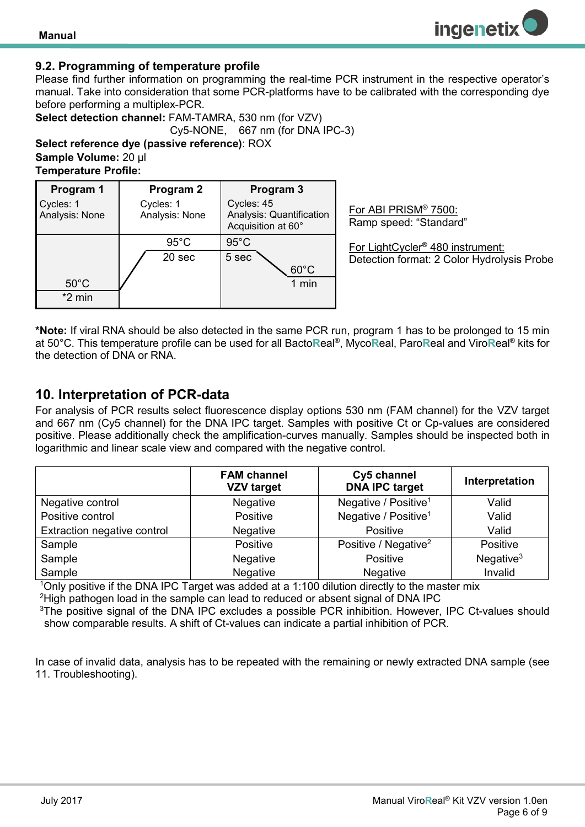<span id="page-5-0"></span>

Please find further information on programming the real-time PCR instrument in the respective operator's manual. Take into consideration that some PCR-platforms have to be calibrated with the corresponding dye before performing a multiplex-PCR.

**Select detection channel:** FAM-TAMRA, 530 nm (for VZV)

Cy5-NONE, 667 nm (for DNA IPC-3)

**Select reference dye (passive reference)**: ROX **Sample Volume:** 20 µl **Temperature Profile:** 

| Program 1                   | Program 2                   | Program 3                                                    |
|-----------------------------|-----------------------------|--------------------------------------------------------------|
| Cycles: 1<br>Analysis: None | Cycles: 1<br>Analysis: None | Cycles: 45<br>Analysis: Quantification<br>Acquisition at 60° |
|                             | $95^{\circ}$ C              | $95^{\circ}$ C                                               |
|                             | 20 sec                      | 5 sec                                                        |
|                             |                             | $60^{\circ}$ C                                               |
| $50^{\circ}$ C              |                             | 1 min                                                        |
| $*2$ min                    |                             |                                                              |

For ABI PRISM® 7500: Ramp speed: "Standard"

For LightCycler® 480 instrument: Detection format: 2 Color Hydrolysis Probe

**ingenetix** 

**\*Note:** If viral RNA should be also detected in the same PCR run, program 1 has to be prolonged to 15 min at 50°C. This temperature profile can be used for all Bacto**R**eal® , Myco**R**eal, Paro**R**eal and Viro**R**eal® kits for the detection of DNA or RNA.

#### <span id="page-5-1"></span>**10. Interpretation of PCR-data**

For analysis of PCR results select fluorescence display options 530 nm (FAM channel) for the VZV target and 667 nm (Cy5 channel) for the DNA IPC target. Samples with positive Ct or Cp-values are considered positive. Please additionally check the amplification-curves manually. Samples should be inspected both in logarithmic and linear scale view and compared with the negative control.

|                             | <b>FAM channel</b><br><b>VZV target</b> | Cy5 channel<br><b>DNA IPC target</b> | Interpretation |
|-----------------------------|-----------------------------------------|--------------------------------------|----------------|
| Negative control            | <b>Negative</b>                         | Negative / Positive <sup>1</sup>     | Valid          |
| Positive control            | Positive                                | Negative / Positive <sup>1</sup>     | Valid          |
| Extraction negative control | Negative                                | Positive                             | Valid          |
| Sample                      | Positive                                | Positive / Negative <sup>2</sup>     | Positive       |
| Sample                      | Negative                                | Positive                             | Negative $3$   |
| Sample                      | Negative                                | Negative                             | Invalid        |

<sup>1</sup>Only positive if the DNA IPC Target was added at a 1:100 dilution directly to the master mix <sup>2</sup>High pathogen load in the sample can lead to reduced or absent signal of DNA IPC

<sup>3</sup>The positive signal of the DNA IPC excludes a possible PCR inhibition. However, IPC Ct-values should show comparable results. A shift of Ct-values can indicate a partial inhibition of PCR.

In case of invalid data, analysis has to be repeated with the remaining or newly extracted DNA sample (see 11. Troubleshooting).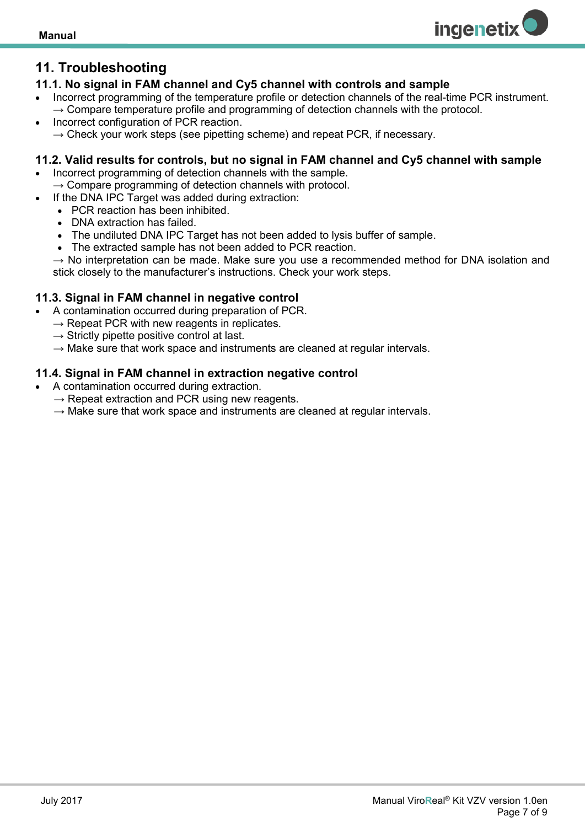## <span id="page-6-0"></span>**11. Troubleshooting**

#### <span id="page-6-1"></span>**11.1. No signal in FAM channel and Cy5 channel with controls and sample**

- Incorrect programming of the temperature profile or detection channels of the real-time PCR instrument.  $\rightarrow$  Compare temperature profile and programming of detection channels with the protocol.
- Incorrect configuration of PCR reaction.  $\rightarrow$  Check your work steps (see pipetting scheme) and repeat PCR, if necessary.

#### <span id="page-6-2"></span>**11.2. Valid results for controls, but no signal in FAM channel and Cy5 channel with sample**

- Incorrect programming of detection channels with the sample.  $\rightarrow$  Compare programming of detection channels with protocol.
- If the DNA IPC Target was added during extraction:
	- PCR reaction has been inhibited.
	- DNA extraction has failed.
	- The undiluted DNA IPC Target has not been added to lysis buffer of sample.
	- The extracted sample has not been added to PCR reaction.

 $\rightarrow$  No interpretation can be made. Make sure you use a recommended method for DNA isolation and stick closely to the manufacturer's instructions. Check your work steps.

#### <span id="page-6-3"></span>**11.3. Signal in FAM channel in negative control**

- A contamination occurred during preparation of PCR.
	- $\rightarrow$  Repeat PCR with new reagents in replicates.
	- $\rightarrow$  Strictly pipette positive control at last.
	- $\rightarrow$  Make sure that work space and instruments are cleaned at regular intervals.

#### <span id="page-6-4"></span>**11.4. Signal in FAM channel in extraction negative control**

- A contamination occurred during extraction.
	- $\rightarrow$  Repeat extraction and PCR using new reagents.
	- $\rightarrow$  Make sure that work space and instruments are cleaned at regular intervals.

**ingenetix**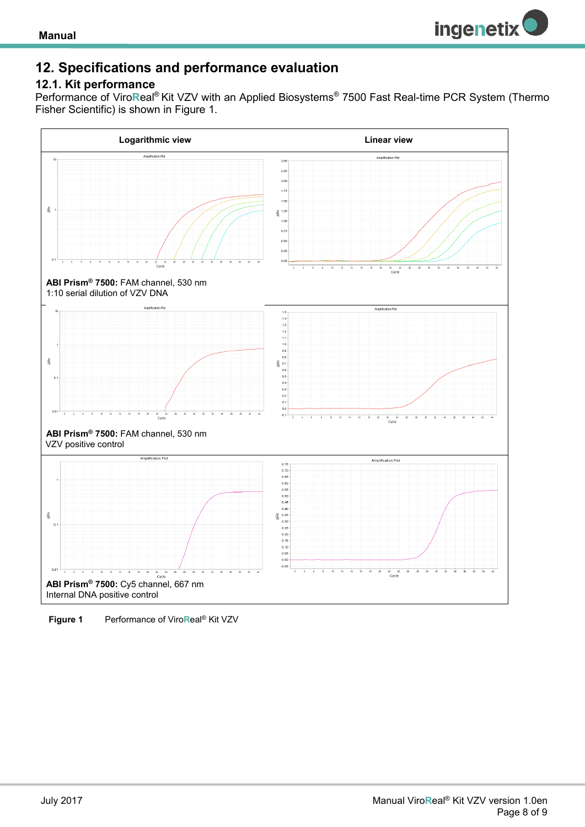

## <span id="page-7-0"></span>**12. Specifications and performance evaluation**

#### <span id="page-7-1"></span>**12.1. Kit performance**

Performance of Viro**R**eal® Kit VZV with an Applied Biosystems® 7500 Fast Real-time PCR System (Thermo Fisher Scientific) is shown in Figure 1.



**Figure 1** Performance of Viro**R**eal® Kit VZV